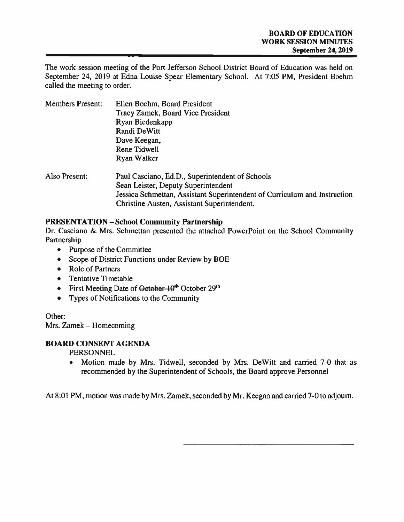The work session meeting of the Port Jefferson School District Board of Education was held on September 24, 2019 at Edna Louise Spear Elementary School. At 7:05 PM, President Boehm called the meeting to order.

| <b>Members Present:</b> | Ellen Boehm, Board President<br>Tracy Zamek, Board Vice President<br>Ryan Biedenkapp<br>Randi DeWitt<br>Dave Keegan,<br>Rene Tidwell<br>Ryan Walker                                                                |
|-------------------------|--------------------------------------------------------------------------------------------------------------------------------------------------------------------------------------------------------------------|
| Also Present:           | Paul Casciano, Ed.D., Superintendent of Schools<br>Sean Leister, Deputy Superintendent<br>Jessica Schmettan, Assistant Superintendent of Curriculum and Instruction<br>Christine Austen, Assistant Superintendent. |

## PRESENTATION — School Community Partnership

Dr. Casciano & Mrs. Schmettan presented the attached PowerPoint on the School Community Partnership

- Purpose of the Committee
- Scope of District Functions under Review by BOE
- Role of Partners
- Tentative Timetable
- First Meeting Date of <del>October 10<sup>th</sup></del> October 29<sup>th</sup>
- Types of Notifications to the Community

Other:

Mrs. Zamek — Homecoming

#### BOARD CONSENT AGENDA

PERSONNEL

 $\bullet$  Motion made by Mrs. Tidwell, seconded by Mrs. DeWitt and carried 7-0 that as recommended by the Superintendent of Schools, the Board approve Personnel

At 8:01 PM, motion was made by Mrs. Zamek, seconded by Mr. Keegan and carried 7-0 to adjourn.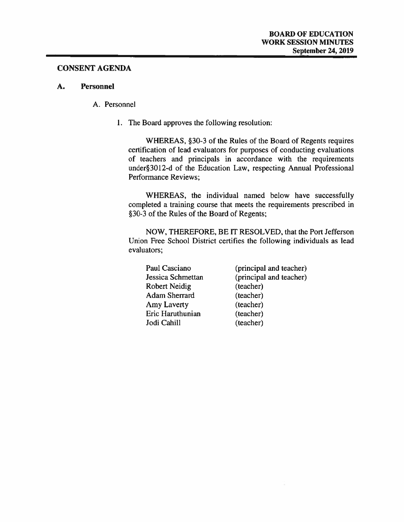#### CONSENT AGENDA

#### A. Personnel

#### A. Personnel

1. The Board approves the following resolution:

WHEREAS, §30-3 of the Rules of the Board of Regents requires certification of lead evaluators for purposes of conducting evaluations of teachers and principals in accordance with the requirements under3O12-d of the Education Law, respecting Annual Professional Performance Reviews;

WHEREAS, the individual named below have successfully completed <sup>a</sup> training course that meets the requirements prescribed in §30-3 of the Rules of the Board of Regents;

NOW, THEREFORE, BE IT RESOLVED, that the Port Jefferson Union Free School District certifies the following individuals as lead evaluators;

| Paul Casciano     | (principal and teacher) |
|-------------------|-------------------------|
| Jessica Schmettan | (principal and teacher) |
| Robert Neidig     | (teacher)               |
| Adam Sherrard     | (teacher)               |
| Amy Laverty       | (teacher)               |
| Eric Haruthunian  | (teacher)               |
| Jodi Cahill       | (teacher)               |
|                   |                         |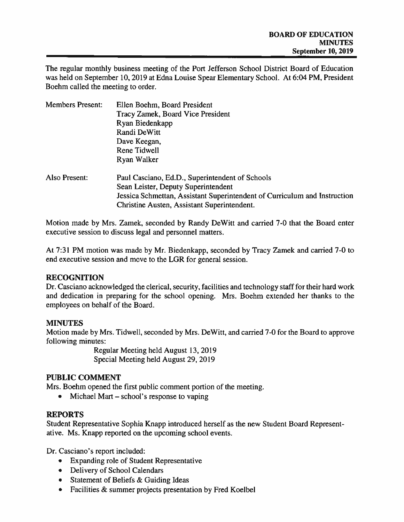The regular monthly business meeting of the Port Jefferson School District Board of Education was held on September 10, 2019 at Edna Louise Spear Elementary School. At 6:04 PM, President Boehm called the meeting to order.

| <b>Members Present:</b> | Ellen Boehm, Board President                                              |
|-------------------------|---------------------------------------------------------------------------|
|                         | Tracy Zamek, Board Vice President                                         |
|                         | Ryan Biedenkapp                                                           |
|                         | Randi DeWitt                                                              |
|                         | Dave Keegan,                                                              |
|                         | <b>Rene Tidwell</b>                                                       |
|                         | Ryan Walker                                                               |
| Also Present:           | Paul Casciano, Ed.D., Superintendent of Schools                           |
|                         | Sean Leister, Deputy Superintendent                                       |
|                         | Jessica Schmettan, Assistant Superintendent of Curriculum and Instruction |
|                         | Christine Austen, Assistant Superintendent.                               |
|                         |                                                                           |

Motion made by Mrs. Zamek, seconded by Randy DeWitt and carried 7-0 that the Board enter executive session to discuss legal and personnel matters.

At 7:31 PM motion was made by Mr. Biedenkapp, seconded by Tracy Zamek and carried 7-0 to end executive session and move to the LGR for general session.

## RECOGNITION

Dr. Casciano acknowledged the clerical, security, facilities and technology staff for their hard work and dedication in preparing for the school opening. Mrs. Boehm extended her thanks to the employees on behalf of the Board.

#### MINUTES

Motion made by Mrs. Tidwell, seconded by Mrs. DeWitt, and carried 7-0 for the Board to approve following minutes:

> Regular Meeting held August 13, 2019 Special Meeting held August 29, 2019

## PUBLIC COMMENT

Mrs. Boehm opened the first public comment portion of the meeting.

• Michael Mart – school's response to vaping

## REPORTS

Student Representative Sophia Knapp introduced herself as the new Student Board Represent ative. Ms. Knapp reported on the upcoming school events.

Dr. Casciano's repor<sup>t</sup> included:

- Expanding role of Student Representative
- Delivery of School Calendars
- Statement of Beliefs & Guiding Ideas
- •Facilities & summer projects presentation by Fred Koelbel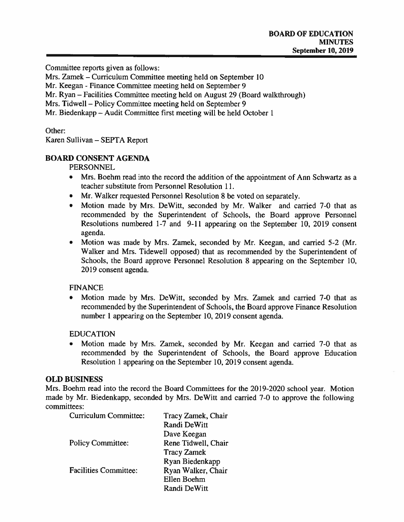Committee reports given as follows:

Mrs. Zamek — Curriculum Committee meeting held on September 10

Mr. Keegan -Finance Committee meeting held on September 9

Mr. Ryan — Facilities Committee meeting held on August 29 (Board walkthrough)

Mrs. Tidwell — Policy Committee meeting held on September 9

Mr. Biedenkapp — Audit Committee first meeting will be held October 1

Other:

Karen Sullivan — SEPTA Report

## BOARD CONSENT AGENDA

PERSONNEL

- • Mrs. Boehm read into the record the addition of the appointment of Ann Schwartz as <sup>a</sup> teacher substitute from Personnel Resolution 11.
- Mr. Walker requested Personnel Resolution 8 be voted on separately.
- Motion made by Mrs. DeWitt, seconded by Mr. Walker and carried 7-0 that as recommended by the Superintendent of Schools, the Board approve Personnel Resolutions numbered 1-7 and 9-Il appearing on the September 10, 2019 consent agenda.
- • Motion was made by Mrs. Zamek, seconded by Mr. Keegan, and carried 5-2 (Mr. Walker and Mrs. Tidewell opposed) that as recommended by the Superintendent of Schools, the Board approve Personnel Resolution 8 appearing on the September 10, 2019 consent agenda.

## FINANCE

• Motion made by Mrs. DeWitt, seconded by Mrs. Zamek and carried 7-0 that as recommended by the Superintendent of Schools, the Board approve Finance Resolution number 1 appearing on the September 10, 2019 consent agenda.

## EDUCATION

 Motion made by Mrs. Zamek, seconded by Mr. Keegan and carried 7-0 that as recommended by the Superintendent of Schools, the Board approve Education Resolution 1 appearing on the September 10, 2019 consent agenda.

## OLD BUSINESS

Mrs. Boehm read into the record the Board Committees for the 2019-2020 school year. Motion made by Mr. Biedenkapp. seconded by Mrs. DeWitt and carried 7-0 to approve the following committees:

| Curriculum Committee:        | Tracy Zamek, Chair  |
|------------------------------|---------------------|
|                              | <b>Randi DeWitt</b> |
|                              | Dave Keegan         |
| <b>Policy Committee:</b>     | Rene Tidwell, Chair |
|                              | <b>Tracy Zamek</b>  |
|                              | Ryan Biedenkapp     |
| <b>Facilities Committee:</b> | Ryan Walker, Chair  |
|                              | Ellen Boehm         |
|                              | Randi DeWitt        |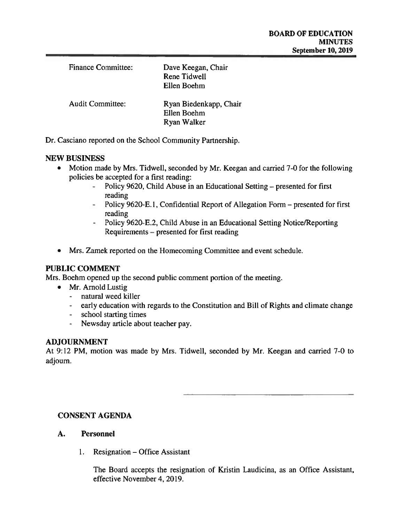| <b>Finance Committee:</b> | Dave Keegan, Chair<br><b>Rene Tidwell</b><br>Ellen Boehm |
|---------------------------|----------------------------------------------------------|
| <b>Audit Committee:</b>   | Ryan Biedenkapp, Chair<br>Ellen Boehm<br>Ryan Walker     |

Dr. Casciano reported on the School Community Partnership.

#### NEW BUSINESS

- $\bullet$  Motion made by Mrs. Tidwell, seconded by Mr. Keegan and carried 7-0 for the following policies be accepted for <sup>a</sup> first reading:
	- Policy 9620, Child Abuse in an Educational Setting presented for first reading
	- - Policy 9620-E. 1, Confidential Report of Allegation Form — presented for first reading
	- Policy 9620-E.2, Child Abuse in an Educational Setting Notice/Reporting Requirements — presented for first reading
- Mrs. Zamek reported on the Homecoming Committee and event schedule.

#### PUBLIC COMMENT

Mrs. Boehm opened up the second public comment portion of the meeting.

- Mr. Arnold Lustig
	- natural weed killer
	- early education with regards to the Constitution and Bill of Rights and climate change
	- school starting times
	- -Newsday article about teacher pay.

#### ADJOURNMENT

At 9:12 PM, motion was made by Mrs. Tidwell, seconded by Mr. Keegan and carried 7-0 to adjourn.

#### CONSENT AGENDA

#### A. Personnel

1. Resignation — Office Assistant

The Board accepts the resignation of Kristin Laudicina, as an Office Assistant, effective November 4, 2019.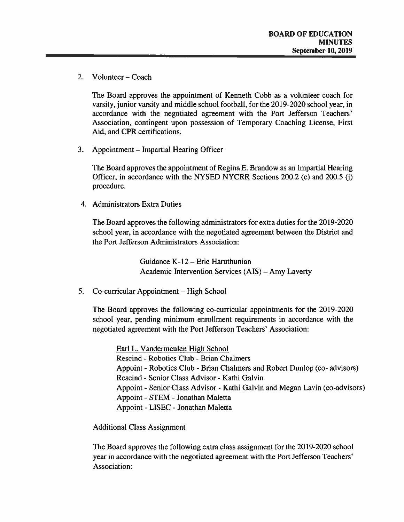2. Volunteer — Coach

The Board approves the appointment of Kenneth Cobb as <sup>a</sup> volunteer coach for varsity, junior varsity and middle school football, for the 2019-2020 school year, in accordance with the negotiated agreemen<sup>t</sup> with the Port Jefferson Teachers' Association, contingent upon possession of Temporary Coaching License, First Aid, and CPR certifications.

3. Appointment – Impartial Hearing Officer

The Board approves the appointment of Regina E. Brandow as an Impartial Hearing Officer, in accordance with the NYSED NYCRR Sections 200.2 (e) and 200.5 (j) procedure.

4. Administrators Extra Duties

The Board approves the following administrators for extra duties for the 2019-2020 school year, in accordance with the negotiated agreemen<sup>t</sup> between the District and the Port Jefferson Administrators Association:

> Guidance K- 12— Eric Haruthunian Academic Intervention Services (AIS) - Amy Laverty

5. Co-curricular Appointment — High School

The Board approves the following co-curricular appointments for the 2019-2020 school year, pending minimum enrollment requirements in accordance with the negotiated agreemen<sup>t</sup> with the Port Jefferson Teachers' Association:

Earl L. Vandermeulen High School

Rescind - Robotics Club - Brian Chalmers

Appoint -Robotics Club -Brian Chalmers and Robert Dunlop (co- advisors)

Rescind - Senior Class Advisor - Kathi Galvin

Appoint -Senior Class Advisor -Kathi Galvin and Megan Lavin (co-advisors)

Appoint -STEM -Jonathan Maletta

Appoint -LISEC -Jonathan Maletta

Additional Class Assignment

The Board approves the following extra class assignment for the 2019-2020 school year in accordance with the negotiated agreemen<sup>t</sup> with the Port Jefferson Teachers' Association: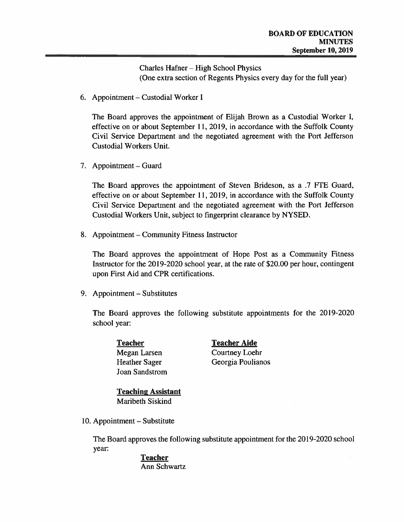Charles Hafner — High School Physics (One extra section of Regents Physics every day for the full year)

6. Appointment — Custodial Worker I

The Board approves the appointment of Elijah Brown as <sup>a</sup> Custodial Worker I, effective on or about September 11, 2019, in accordance with the Suffolk County Civil Service Department and the negotiated agreemen<sup>t</sup> with the Port Jefferson Custodial Workers Unit.

7. Appointment — Guard

The Board approves the appointment of Steven Brideson, as a .7 FTE Guard, effective on or about September 11, 2019, in accordance with the Suffolk County Civil Service Department and the negotiated agreemen<sup>t</sup> with the Port Jefferson Custodial Workers Unit, subject to fingerprint clearance by NYSED.

8. Appointment — Community Fitness Instructor

The Board approves the appointment of Hope Post as <sup>a</sup> Community Fitness Instructor for the 20 19-2020 school year, at the rate of \$20.00 per hour, contingent upon First Aid and CPR certifications.

9. Appointment — Substitutes

The Board approves the following substitute appointments for the 2019-2020 school year:

Joan Sandstrom

Teacher Teacher Aide Megan Larsen Courtney Loehr Heather Sager Georgia Poulianos

Teaching Assistant Maribeth Siskind

10. Appointment — Substitute

The Board approves the following substitute appointment for the 2019-2020 school year:

#### Teacher Ann Schwartz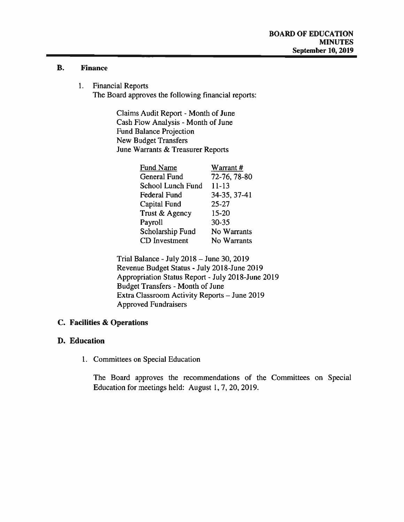#### B. Finance

1. Financial Reports The Board approves the following financial reports:

> Claims Audit Report - Month of June Cash Flow Analysis - Month of June Fund Balance Projection New Budget Transfers June Warrants & Treasurer Reports

| <b>Fund Name</b>     | Warrant#     |
|----------------------|--------------|
| <b>General Fund</b>  | 72-76, 78-80 |
| School Lunch Fund    | $11 - 13$    |
| <b>Federal Fund</b>  | 34-35, 37-41 |
| <b>Capital Fund</b>  | $25 - 27$    |
| Trust & Agency       | $15 - 20$    |
| Payroll              | 30-35        |
| Scholarship Fund     | No Warrants  |
| <b>CD</b> Investment | No Warrants  |

Trial Balance -July 2018— June 30, 2019 Revenue Budget Status -July 2018-June 2019 Appropriation Status Report -July 2018-June 2019 Budget Transfers - Month of June Extra Classroom Activity Reports — June 2019 Approved Fundraisers

## C. Facilities & Operations

#### D. Education

1. Committees on Special Education

The Board approves the recommendations of the Committees on Special Education for meetings held: August 1,7,20, 2019.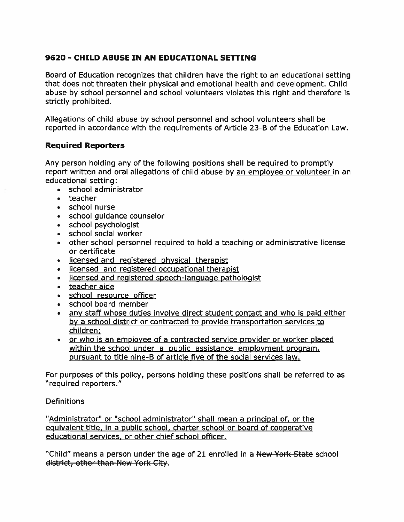# 9620 - CHILD ABUSE IN AN EDUCATIONAL SETTING

Board of Education recognizes that children have the right to an educational setting that does not threaten their physical and emotional health and development. Child abuse by school personnel and school volunteers violates this right and therefore is strictly prohibited.

Allegations of child abuse by school personnel and school volunteers shall be reported in accordance with the requirements of Article 23-B of the Education Law.

## Required Reporters

Any person holding any of the following positions shall be required to promptly report written and oral allegations of child abuse by an employee or volunteer in an educational setting:

- •school administrator
- teacher
- . school nurse
- •school guidance counselor
- school psychologist
- school social worker  $\bullet$
- other school personnel required to hold <sup>a</sup> teaching or administrative license or certificate
- licensed and registered <sup>p</sup>hysical therapist
- licensed and registered occupational therapist
- licensed and registered speech-language pathologist
- teacher aide
- •school resource officer
- school board member
- • any staff whose duties involve direct student contact and who is paid either by <sup>a</sup> school district or contracted to provide transportation services to children;
- or who is an employee of a contracted service provider or worker placed within the school under a public assistance employment program, pursuan<sup>t</sup> to title nine-B of article five of the social services law.

For purposes of this policy, persons holding these positions shall be referred to as "required reporters."

#### **Definitions**

"Administrator" or "school administrator" shall mean <sup>a</sup> principal of, or the equivalent title, in <sup>a</sup> public school, charter school or board of cooperative educational services, or other chief school officer.

"Child" means a person under the age of 21 enrolled in a New York State school district, other than New York City.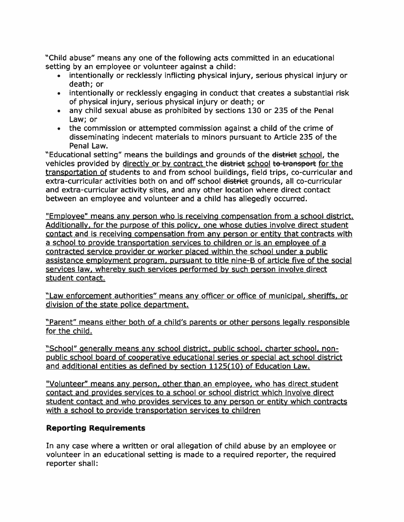"Child abuse" means any one of the following acts committed in an educational setting by an employee or volunteer against <sup>a</sup> child:

- intentionally or recklessly inflicting physical injury, serious physical injury or death; or
- intentionally or recklessly engaging in conduct that creates <sup>a</sup> substantial risk of physical injury, serious physical injury or death; or
- any child sexual abuse as prohibited by sections 130 or 235 of the Penal Law; or
- the commission or attempted commission against <sup>a</sup> child of the crime of disseminating indecent materials to minors pursuan<sup>t</sup> to Article 235 of the Penal Law.

"Educational setting" means the buildings and grounds of the district school, the vehicles provided by directly or by contract the district school to transport for the transportation of students to and from school buildings, field trips, co-curricular and extra-curricular activities both on and off school district grounds, all co-curricular and extra-curricular activity sites, and any other location where direct contact between an employee and volunteer and <sup>a</sup> child has allegedly occurred.

"Employee" means any person who is receiving compensation from a school district. Additionally, for the purpose of this policy, one whose duties involve direct student contact and is receiving compensation from any person or entity that contracts with <sup>a</sup> school to provide transportation services to children or is an employee of <sup>a</sup> contracted service provider or worker <sup>p</sup>laced within the school under <sup>a</sup> public assistance employment program, pursuan<sup>t</sup> to title nine-B of article five of the social services law, whereby such services performed by such person involve direct student contact.

"Law enforcement authorities" means any officer or office of municipal. sheriffs, or division of the state police department.

"Parent" means either both of <sup>a</sup> child's parents or other persons legally responsible for the child.

"School" generally means any school district, public school, charter school, non public school board of cooperative educational series or special act school district and additional entities as defined by section 1125(10) of Education Law.

"Volunteer" means any person, other than an employee, who has direct student contact and provides services to <sup>a</sup> school or school district which involve direct student contact and who provides services to any person or entity which contracts with <sup>a</sup> school to provide transportation services to children

# Reporting Requirements

In any case where <sup>a</sup> written or oral allegation of child abuse by an employee or volunteer in an educational setting is made to <sup>a</sup> required reporter, the required reporter shall: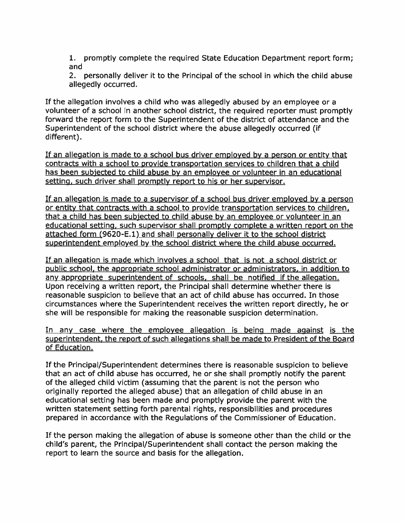1. promptly complete the required State Education Department repor<sup>t</sup> form; and

2. personally deliver it to the Principal of the school in which the child abuse allegedly occurred.

If the allegation involves <sup>a</sup> child who was allegedly abused by an employee or <sup>a</sup> volunteer of <sup>a</sup> school in another school district, the required reporter must promptly forward the repor<sup>t</sup> form to the Superintendent of the district of attendance and the Superintendent of the school district where the abuse allegedly occurred (if different).

If an allegation is made to <sup>a</sup> school bus driver employed by <sup>a</sup> person or entity that contracts with <sup>a</sup> school to provide transportation services to children that <sup>a</sup> child has been subjected to child abuse by an employee or volunteer in an educational setting, such driver shall promptly report to his or her supervisor.

If an allegation is made to <sup>a</sup> supervisor of <sup>a</sup> school bus driver employed by <sup>a</sup> person or entity that contracts with <sup>a</sup> school to provide transportation services to children, that <sup>a</sup> child has been subjected to child abuse by an employee or volunteer in an educational setting, such supervisor shall promptly complete <sup>a</sup> written repor<sup>t</sup> on the attached form (9620-E.1) and shall personally deliver it to the school district superintendent employed by the school district where the child abuse occurred.

If an allegation is made which involves <sup>a</sup> school that is not <sup>a</sup> school district or public school, the appropriate school administrator or administrators, in addition to any appropriate superintendent of schools, shall be notified if the allegation. Upon receiving <sup>a</sup> written report, the Principal shall determine whether there is reasonable suspicion to believe that an act of child abuse has occurred. In those circumstances where the Superintendent receives the written repor<sup>t</sup> directly, he or she will be responsible for making the reasonable suspicion determination.

In any case where the employee allegation is being made against is the superintendent, the repor<sup>t</sup> of such allegations shall be made to President of the Board of Education.

If the Principal/Superintendent determines there is reasonable suspicion to believe that an act of child abuse has occurred, he or she shall promptly notify the paren<sup>t</sup> of the alleged child victim (assuming that the paren<sup>t</sup> is not the person who originally reported the alleged abuse) that an allegation of child abuse in an educational setting has been made and promptly provide the paren<sup>t</sup> with the written statement setting forth parental rights, responsibilities and procedures prepared in accordance with the Regulations of the Commissioner of Education.

If the person making the allegation of abuse is someone other than the child or the child's parent, the Principal/Superintendent shall contact the person making the repor<sup>t</sup> to learn the source and basis for the allegation.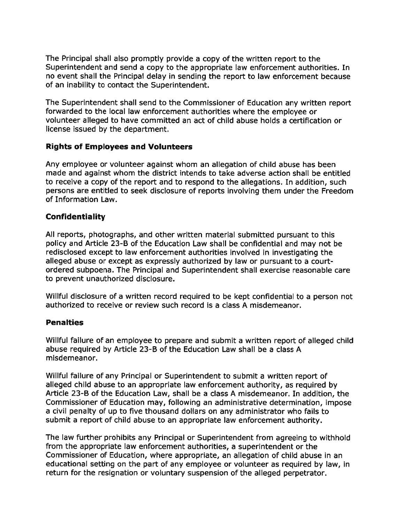The Principal shall also promptly provide <sup>a</sup> copy of the written repor<sup>t</sup> to the Superintendent and send <sup>a</sup> copy to the appropriate law enforcement authorities. In no event shall the Principal delay in sending the repor<sup>t</sup> to law enforcement because of an inability to contact the Superintendent.

The Superintendent shall send to the Commissioner of Education any written repor<sup>t</sup> forwarded to the local law enforcement authorities where the employee or volunteer alleged to have committed an act of child abuse holds <sup>a</sup> certification or license issued by the department.

#### Rights of Employees and Volunteers

Any employee or volunteer against whom an allegation of child abuse has been made and against whom the district intends to take adverse action shall be entitled to receive <sup>a</sup> copy of the repor<sup>t</sup> and to respond to the allegations. In addition, such persons are entitled to seek disclosure of reports involving them under the Freedom of Information Law.

## Confidentiality

All reports, photographs, and other written material submitted pursuan<sup>t</sup> to this policy and Article 23-B of the Education Law shall be confidential and may not be redisclosed excep<sup>t</sup> to law enforcement authorities involved in investigating the alleged abuse or excep<sup>t</sup> as expressly authorized by law or pursuan<sup>t</sup> to <sup>a</sup> courtordered subpoena. The Principal and Superintendent shall exercise reasonable care to preven<sup>t</sup> unauthorized disclosure.

Willful disclosure of <sup>a</sup> written record required to be kept confidential to <sup>a</sup> person not authorized to receive or review such record is <sup>a</sup> class A misdemeanor.

## **Penalties**

Willful failure of an employee to prepare and submit <sup>a</sup> written repor<sup>t</sup> of alleged child abuse required by Article 23-B of the Education Law shall be <sup>a</sup> class A misdemeanor.

Willful failure of any Principal or Superintendent to submit <sup>a</sup> written repor<sup>t</sup> of alleged child abuse to an appropriate law enforcement authority, as required by Article 23-B of the Education Law, shall be <sup>a</sup> class A misdemeanor. In addition, the Commissioner of Education may, following an administrative determination, impose <sup>a</sup> civil penalty of up to five thousand dollars on any administrator who fails to submit <sup>a</sup> repor<sup>t</sup> of child abuse to an appropriate law enforcement authority.

The law further prohibits any Principal or Superintendent from agreeing to withhold from the appropriate law enforcement authorities, <sup>a</sup> superintendent or the Commissioner of Education, where appropriate, an allegation of child abuse in an educational setting on the par<sup>t</sup> of any employee or volunteer as required by law, in return for the resignation or voluntary suspension of the alleged perpetrator.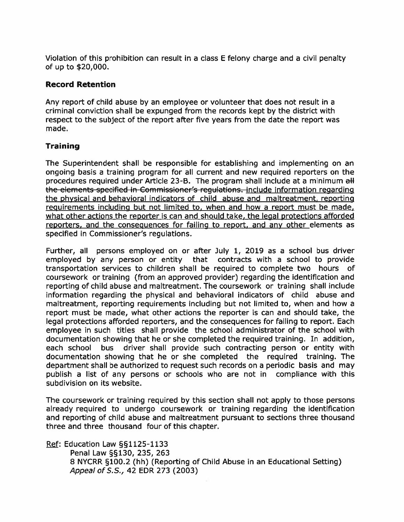Violation of this prohibition can result in <sup>a</sup> class E felony charge and <sup>a</sup> civil penalty of up to \$20,000.

## Record Retention

Any repor<sup>t</sup> of child abuse by an employee or volunteer that does not result in <sup>a</sup> criminal conviction shall be expunged from the records kept by the district with respec<sup>t</sup> to the subject of the repor<sup>t</sup> after five years from the date the repor<sup>t</sup> was made.

## **Training**

The Superintendent shall be responsible for establishing and implementing on an ongoing basis <sup>a</sup> training program for all current and new required reporters on the procedures required under Article 23-B. The program shall include at a minimum all the elements specified in Commissioner's regulations. include information regarding the physical and behavioral indicators of child abuse and maltreatment, reporting requirements including but not limited to, when and how <sup>a</sup> repor<sup>t</sup> must be made, what other actions the reporter is can and should take, the legal protections afforded reporters, and the consequences for failing to report, and any other elements as specified in Commissioner's regulations.

Further, all persons employed on or after July 1, 2019 as <sup>a</sup> school bus driver employed by any person or entity that contracts with <sup>a</sup> school to provide transportation services to children shall be required to complete two hours of coursework or training (from an approved provider) regarding the identification and reporting of child abuse and maltreatment. The coursework or training shall include information regarding the physical and behavioral indicators of child abuse and maltreatment, reporting requirements including but not limited to, when and how <sup>a</sup> repor<sup>t</sup> must be made, what other actions the reporter is can and should take, the legal protections afforded reporters, and the consequences for failing to report. Each employee in such titles shall provide the school administrator of the school with documentation showing that he or she completed the required training. In addition, each school bus driver shall provide such contracting person or entity with documentation showing that he or she completed the required training. The department shall be authorized to reques<sup>t</sup> such records on <sup>a</sup> periodic basis and may publish <sup>a</sup> list of any persons or schools who are not in compliance with this subdivision on its website.

The coursework or training required by this section shall not apply to those persons already required to undergo coursework or training regarding the identification and reporting of child abuse and maltreatment pursuan<sup>t</sup> to sections three thousand three and three thousand four of this chapter.

Ref: Education Law §§1125-1133

Penal Law §§130, 235, 263 8 NYCRR §100.2 (hh) (Reporting of Child Abuse in an Educational Setting) Appeal of S.S., 42 EDR 273 (2003)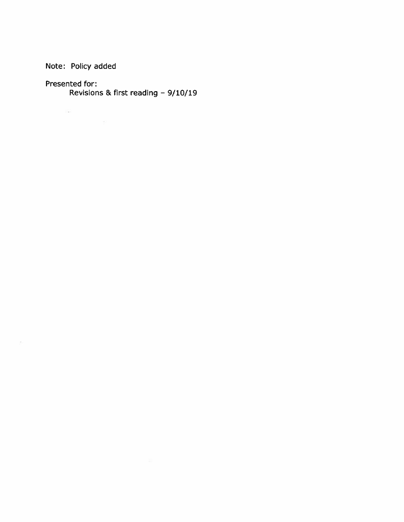Note: Policy added

Presented for:

 $\langle \hat{z}_\mathrm{eff} \rangle$ 

 $\frac{d\Gamma}{\Gamma(\tau)}$ 

Revisions & first reading — 9/10/19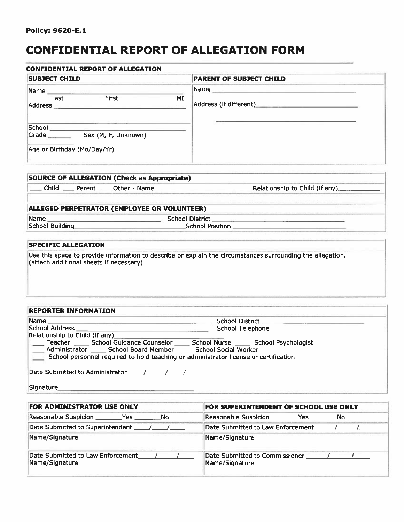# CONFIDENTIAL REPORT OF ALLEGATION FORM

| <b>CONFIDENTIAL REPORT OF ALLEGATION</b>                                                                                                                                                                                                                                                     |                                               |
|----------------------------------------------------------------------------------------------------------------------------------------------------------------------------------------------------------------------------------------------------------------------------------------------|-----------------------------------------------|
| <b>SUBJECT CHILD</b>                                                                                                                                                                                                                                                                         | <b>PARENT OF SUBJECT CHILD</b>                |
|                                                                                                                                                                                                                                                                                              |                                               |
| First<br>Last<br>МI                                                                                                                                                                                                                                                                          | Address (if different) Address (if different) |
| Grade Sex (M, F, Unknown)                                                                                                                                                                                                                                                                    |                                               |
| Age or Birthday (Mo/Day/Yr)                                                                                                                                                                                                                                                                  |                                               |
| SOURCE OF ALLEGATION (Check as Appropriate)                                                                                                                                                                                                                                                  |                                               |
| Child Parent Other - Name                                                                                                                                                                                                                                                                    | Relationship to Child (if any)                |
| ALLEGED PERPETRATOR (EMPLOYEE OR VOLUNTEER)                                                                                                                                                                                                                                                  |                                               |
|                                                                                                                                                                                                                                                                                              |                                               |
| School Building School Position                                                                                                                                                                                                                                                              |                                               |
|                                                                                                                                                                                                                                                                                              |                                               |
| <b>SPECIFIC ALLEGATION</b>                                                                                                                                                                                                                                                                   |                                               |
| Use this space to provide information to describe or explain the circumstances surrounding the allegation.<br>(attach additional sheets if necessary)                                                                                                                                        |                                               |
| <b>REPORTER INFORMATION</b>                                                                                                                                                                                                                                                                  |                                               |
| Name                                                                                                                                                                                                                                                                                         |                                               |
| Relationship to Child (if any)_<br>Teacher _______ School Guidance Counselor ______ School Nurse _______ School Psychologist<br>Administrator ______ School Board Member ______ School Social Worker<br>School personnel required to hold teaching or administrator license or certification |                                               |
|                                                                                                                                                                                                                                                                                              |                                               |
|                                                                                                                                                                                                                                                                                              |                                               |
|                                                                                                                                                                                                                                                                                              |                                               |
| FOR ADMINISTRATOR USE ONLY<br>Reasonable Suspicion __________Yes __________No                                                                                                                                                                                                                | FOR SUPERINTENDENT OF SCHOOL USE ONLY         |

| FOR ADMINISTRATOR USE ONLY                          | FOR SUPERINTENDENT OF SCHOOL USE ONLY            |  |
|-----------------------------------------------------|--------------------------------------------------|--|
| Reasonable Suspicion _____________Yes<br><b>No</b>  | - No                                             |  |
| Date Submitted to Superintendent                    | Date Submitted to Law Enforcement                |  |
| Name/Signature                                      | Name/Signature                                   |  |
| Date Submitted to Law Enforcement<br>Name/Signature | Date Submitted to Commissioner<br>Name/Signature |  |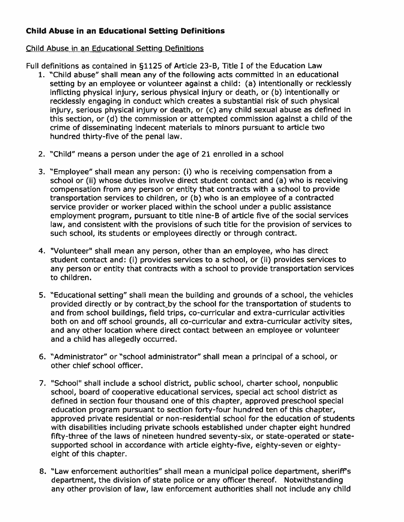# Child Abuse in an Educational Setting Definitions

## Child Abuse in an Educational Setting Definitions

Full definitions as contained in §1125 of Article 23-B, Title I of the Education Law

- 1. "Child abuse" shall mean any of the following acts committed in an educational setting by an employee or volunteer against <sup>a</sup> child: (a) intentionally or recklessly inflicting physical injury, serious physical injury or death, or (b) intentionally or recklessly engaging in conduct which creates <sup>a</sup> substantial risk of such physical injury, serious physical injury or death, or (c) any child sexual abuse as defined in this section, or (d) the commission or attempted commission against <sup>a</sup> child of the crime of disseminating indecent materials to minors pursuan<sup>t</sup> to article two hundred thirty-five of the penal law.
- 2. "Child" means <sup>a</sup> person under the age of 21 enrolled in <sup>a</sup> school
- 3. "Employee" shall mean any person: (i) who is receiving compensation from <sup>a</sup> school or (ii) whose duties involve direct student contact and (a) who is receiving compensation from any person or entity that contracts with <sup>a</sup> school to provide transportation services to children, or (b) who is an employee of <sup>a</sup> contracted service provider or worker placed within the school under <sup>a</sup> public assistance employment program, pursuan<sup>t</sup> to title nine-B of article five of the social services law, and consistent with the provisions of such title for the provision of services to such school, its students or employees directly or through contract.
- 4. "Volunteer" shall mean any person, other than an employee, who has direct student contact and: (i) provides services to <sup>a</sup> school, or (ii) provides services to any person or entity that contracts with <sup>a</sup> school to provide transportation services to children.
- 5. "Educational setting" shall mean the building and grounds of <sup>a</sup> school, the vehicles provided directly or by contract\_by the school for the transportation of students to and from school buildings, field trips, co-curricular and extra-curricular activities both on and off school grounds, all co-curricular and extra-curricular activity sites, and any other location where direct contact between an employee or volunteer and <sup>a</sup> child has allegedly occurred.
- 6. "Administrator" or "school administrator" shall mean <sup>a</sup> principal of <sup>a</sup> school, or other chief school officer.
- 7. "School" shall include <sup>a</sup> school district, public school, charter school, nonpublic school, board of cooperative educational services, special act school district as defined in section four thousand one of this chapter, approved preschool special education program pursuan<sup>t</sup> to section forty-four hundred ten of this chapter, approved private residential or non-residential school for the education of students with disabilities including private schools established under chapter eight hundred fifty-three of the laws of nineteen hundred seventy-six, or state-operated or state supported school in accordance with article eighty-five, eighty-seven or eighty eight of this chapter.
- 8. "Law enforcement authorities" shall mean <sup>a</sup> municipal police department, sheriff's department, the division of state police or any officer thereof. Notwithstanding any other provision of law, law enforcement authorities shall not include any child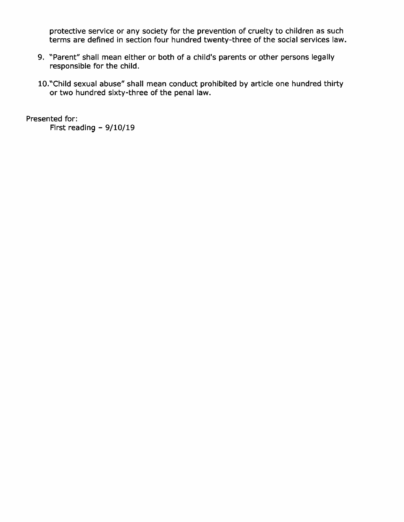protective service or any society for the prevention of cruelty to children as such terms are defined in section four hundred twenty-three of the social services law.

- 9. "Parent" shall mean either or both of <sup>a</sup> child's parents or other persons legally responsible for the child.
- 1O."Child sexual abuse" shall mean conduct prohibited by article one hundred thirty or two hundred sixty-three of the penal law.

Presented for: First reading — 9/10/19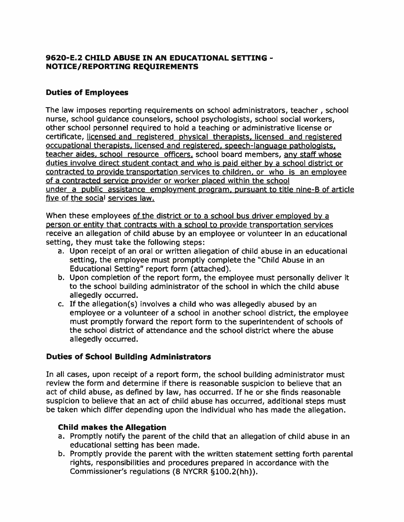## 9620-E.2 CHILD ABUSE IN AN EDUCATIONAL SETTING - NOTICE/REPORTING REQUIREMENTS

# Duties of Employees

The law imposes reporting requirements on school administrators, teacher , school nurse, school guidance counselors, school psychologists, school social workers, other school personnel required to hold <sup>a</sup> teaching or administrative license or certificate, licensed and registered <sup>p</sup>hysical therapists, licensed and registered occupational therapists, licensed and registered, speech-language pathologists, teacher aides, school resource officers, school board members, any staff whose duties involve direct student contact and who is paid either by <sup>a</sup> school district or contracted to provide transportation services to children, or who is an employee of <sup>a</sup> contracted service provider or worker <sup>p</sup>laced within the school under <sup>a</sup> public assistance employment program, pursuan<sup>t</sup> to title nine-B of article five of the social services law.

When these employees of the district or to a school bus driver employed by a person or entity that contracts with <sup>a</sup> school to provide transportation services receive an allegation of child abuse by an employee or volunteer in an educational setting, they must take the following steps:

- a. Upon receipt of an oral or written allegation of child abuse in an educational setting, the employee must promptly complete the "Child Abuse in an Educational Setting" repor<sup>t</sup> form (attached).
- b. Upon completion of the repor<sup>t</sup> form, the employee must personally deliver it to the school building administrator of the school in which the child abuse allegedly occurred.
- c. If the allegation(s) involves <sup>a</sup> child who was allegedly abused by an employee or <sup>a</sup> volunteer of <sup>a</sup> school in another school district, the employee must promptly forward the repor<sup>t</sup> form to the superintendent of schools of the school district of attendance and the school district where the abuse allegedly occurred.

## Duties of School Building Administrators

In all cases, upon receipt of <sup>a</sup> repor<sup>t</sup> form, the school building administrator must review the form and determine if there is reasonable suspicion to believe that an act of child abuse, as defined by law, has occurred. If he or she finds reasonable suspicion to believe that an act of child abuse has occurred, additional steps must be taken which differ depending upon the individual who has made the allegation.

## Child makes the Allegation

- a. Promptly notify the paren<sup>t</sup> of the child that an allegation of child abuse in an educational setting has been made.
- b. Promptly provide the paren<sup>t</sup> with the written statement setting forth parental rights, responsibilities and procedures prepared in accordance with the Commissioner's regulations (8 NYCRR §100.2(hh)).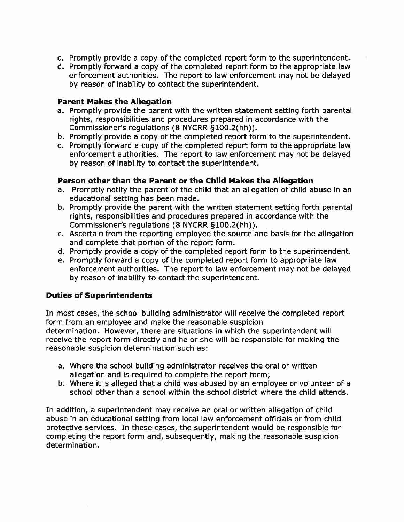- c. Promptly provide <sup>a</sup> copy of the completed repor<sup>t</sup> form to the superintendent.
- d. Promptly forward <sup>a</sup> copy of the completed repor<sup>t</sup> form to the appropriate law enforcement authorities. The repor<sup>t</sup> to law enforcement may not be delayed by reason of inability to contact the superintendent.

#### Parent Makes the Allegation

- a. Promptly provide the paren<sup>t</sup> with the written statement setting forth parental rights, responsibilities and procedures prepared in accordance with the Commissioner's regulations (8 NYCRR §100.2(hh)).
- b. Promptly provide <sup>a</sup> copy of the completed repor<sup>t</sup> form to the superintendent.
- c. Promptly forward <sup>a</sup> copy of the completed repor<sup>t</sup> form to the appropriate law enforcement authorities. The repor<sup>t</sup> to law enforcement may not be delayed by reason of inability to contact the superintendent.

#### Person other than the Parent or the Child Makes the Allegation

- a. Promptly notify the paren<sup>t</sup> of the child that an allegation of child abuse in an educational setting has been made.
- b. Promptly provide the paren<sup>t</sup> with the written statement setting forth parental rights, responsibilities and procedures prepared in accordance with the Commissioner's regulations (8 NYCRR §100.2(hh)).
- c. Ascertain from the reporting employee the source and basis for the allegation and complete that portion of the repor<sup>t</sup> form.
- d. Promptly provide <sup>a</sup> copy of the completed repor<sup>t</sup> form to the superintendent.
- e. Promptly forward <sup>a</sup> copy of the completed repor<sup>t</sup> form to appropriate law enforcement authorities. The repor<sup>t</sup> to law enforcement may not be delayed by reason of inability to contact the superintendent.

## Duties of Superintendents

In most cases, the school building administrator will receive the completed repor<sup>t</sup> form from an employee and make the reasonable suspicion determination. However, there are situations in which the superintendent will receive the repor<sup>t</sup> form directly and he or she will be responsible for making the reasonable suspicion determination such as:

- a. Where the school building administrator receives the oral or written allegation and is required to complete the repor<sup>t</sup> form;
- b. Where it is alleged that <sup>a</sup> child was abused by an employee or volunteer of <sup>a</sup> school other than <sup>a</sup> school within the school district where the child attends.

In addition, <sup>a</sup> superintendent may receive an oral or written allegation of child abuse in an educational setting from local law enforcement officials or from child protective services. In these cases, the superintendent would be responsible for completing the repor<sup>t</sup> form and, subsequently, making the reasonable suspicion determination.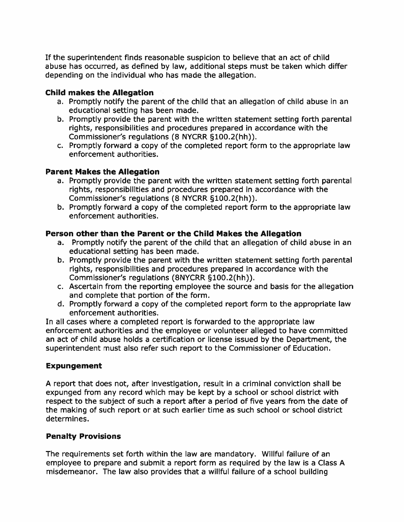If the superintendent finds reasonable suspicion to believe that an act of child abuse has occurred, as defined by law, additional steps must be taken which differ depending on the individual who has made the allegation.

# Child makes the Allegation

- a. Promptly notify the paren<sup>t</sup> of the child that an allegation of child abuse in an educational setting has been made.
- b. Promptly provide the paren<sup>t</sup> with the written statement setting forth parental rights, responsibilities and procedures prepared in accordance with the Commissioner's regulations (8 NYCRR §100.2(hh)).
- c. Promptly forward <sup>a</sup> copy of the completed repor<sup>t</sup> form to the appropriate law enforcement authorities.

# Parent Makes the Allegation

- a. Promptly provide the paren<sup>t</sup> with the written statement setting forth parental rights, responsibilities and procedures prepared in accordance with the Commissioner's regulations (8 NYCRR §100.2(hh)).
- b. Promptly forward <sup>a</sup> copy of the completed repor<sup>t</sup> form to the appropriate law enforcement authorities.

# Person other than the Parent or the Child Makes the Allegation

- a. Promptly notify the paren<sup>t</sup> of the child that an allegation of child abuse in an educational setting has been made.
- b. Promptly provide the paren<sup>t</sup> with the written statement setting forth parental rights, responsibilities and procedures prepared in accordance with the Commissioner's regulations (8NYCRR §100.2(hh)).
- c. Ascertain from the reporting employee the source and basis for the allegation and complete that portion of the form.
- d. Promptly forward <sup>a</sup> copy of the completed repor<sup>t</sup> form to the appropriate law enforcement authorities.

In all cases where <sup>a</sup> completed repor<sup>t</sup> is forwarded to the appropriate law enforcement authorities and the employee or volunteer alleged to have committed an act of child abuse holds <sup>a</sup> certification or license issued by the Department, the superintendent must also refer such repor<sup>t</sup> to the Commissioner of Education.

# Expungement

A repor<sup>t</sup> that does not, after investigation, result in <sup>a</sup> criminal conviction shall be expunged from any record which may be kept by <sup>a</sup> school or school district with respec<sup>t</sup> to the subject of such <sup>a</sup> repor<sup>t</sup> after <sup>a</sup> period of five years from the date of the making of such repor<sup>t</sup> or at such earlier time as such school or school district determines.

# Penalty Provisions

The requirements set forth within the law are mandatory. Willful failure of an employee to prepare and submit <sup>a</sup> repor<sup>t</sup> form as required by the law is <sup>a</sup> Class A misdemeanor. The law also provides that <sup>a</sup> willful failure of <sup>a</sup> school building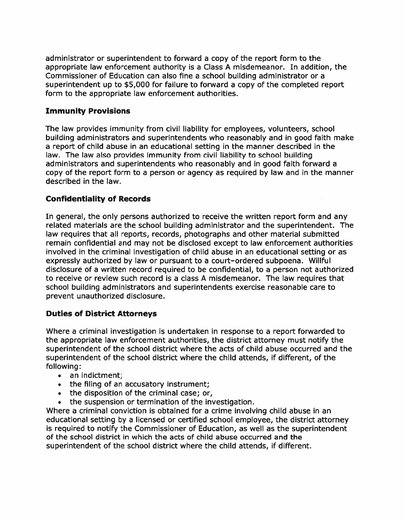administrator or superintendent to forward <sup>a</sup> copy of the repor<sup>t</sup> form to the appropriate law enforcement authority is <sup>a</sup> Class A misdemeanor. In addition, the Commissioner of Education can also fine <sup>a</sup> school building administrator or <sup>a</sup> superintendent up to \$5,000 for failure to forward <sup>a</sup> copy of the completed repor<sup>t</sup> form to the appropriate law enforcement authorities.

## Immunity Provisions

The law provides immunity from civil liability for employees, volunteers, school building administrators and superintendents who reasonably and in good faith make <sup>a</sup> repor<sup>t</sup> of child abuse in an educational setting in the manner described in the law. The law also provides immunity from civil liability to school building administrators and superintendents who reasonably and in good faith forward <sup>a</sup> copy of the repor<sup>t</sup> form to <sup>a</sup> person or agency as required by law and in the manner described in the law.

# Confidentiality of Records

In general, the only persons authorized to receive the written repor<sup>t</sup> form and any related materials are the school building administrator and the superintendent. The law requires that all reports, records, photographs and other material submitted remain confidential and may not be disclosed excep<sup>t</sup> to law enforcement authorities involved in the criminal investigation of child abuse in an educational setting or as expressly authorized by law or pursuan<sup>t</sup> to <sup>a</sup> court—ordered subpoena. Willful disclosure of <sup>a</sup> written record required to be confidential, to <sup>a</sup> person not authorized to receive or review such record is <sup>a</sup> class A misdemeanor. The law requires that school building administrators and superintendents exercise reasonable care to preven<sup>t</sup> unauthorized disclosure.

## Duties of District Attorneys

Where <sup>a</sup> criminal investigation is undertaken in response to <sup>a</sup> repor<sup>t</sup> forwarded to the appropriate law enforcement authorities, the district attorney must notify the superintendent of the school district where the acts of child abuse occurred and the superintendent of the school district where the child attends, if different, of the following:

- an indictment;
- the filing of an accusatory instrument;
- the disposition of the criminal case; or,
- the suspension or termination of the investigation.

Where <sup>a</sup> criminal conviction is obtained for <sup>a</sup> crime involving child abuse in an educational setting by <sup>a</sup> licensed or certified school employee, the district attorney is required to notify the Commissioner of Education, as well as the superintendent of the school district in which the acts of child abuse occurred and the superintendent of the school district where the child attends, if different.